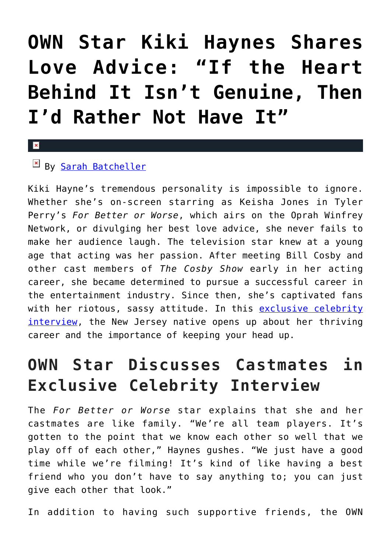# **[OWN Star Kiki Haynes Shares](https://cupidspulse.com/93192/exclusive-celebrity-interview-kiki-haynes-love-advice/) [Love Advice: "If the Heart](https://cupidspulse.com/93192/exclusive-celebrity-interview-kiki-haynes-love-advice/) [Behind It Isn't Genuine, Then](https://cupidspulse.com/93192/exclusive-celebrity-interview-kiki-haynes-love-advice/) [I'd Rather Not Have It"](https://cupidspulse.com/93192/exclusive-celebrity-interview-kiki-haynes-love-advice/)**

#### $\mathbf x$

### By [Sarah Batcheller](http://cupidspulse.com/104594/sarah-batcheller/)

Kiki Hayne's tremendous personality is impossible to ignore. Whether she's on-screen starring as Keisha Jones in Tyler Perry's *For Better or Worse*, which airs on the Oprah Winfrey Network, or divulging her best love advice, she never fails to make her audience laugh. The television star knew at a young age that acting was her passion. After meeting Bill Cosby and other cast members of *The Cosby Show* early in her acting career, she became determined to pursue a successful career in the entertainment industry. Since then, she's captivated fans with her riotous, sassy attitude. In this [exclusive celebrity](http://cupidspulse.com/exclusives/celebrity-interviews/) [interview](http://cupidspulse.com/exclusives/celebrity-interviews/), the New Jersey native opens up about her thriving career and the importance of keeping your head up.

## **OWN Star Discusses Castmates in Exclusive Celebrity Interview**

The *For Better or Worse* star explains that she and her castmates are like family. "We're all team players. It's gotten to the point that we know each other so well that we play off of each other," Haynes gushes. "We just have a good time while we're filming! It's kind of like having a best friend who you don't have to say anything to; you can just give each other that look."

In addition to having such supportive friends, the OWN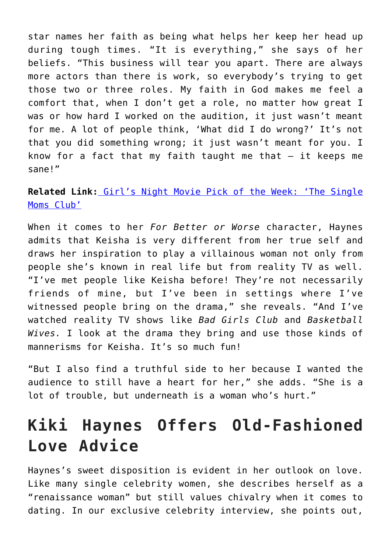star names her faith as being what helps her keep her head up during tough times. "It is everything," she says of her beliefs. "This business will tear you apart. There are always more actors than there is work, so everybody's trying to get those two or three roles. My faith in God makes me feel a comfort that, when I don't get a role, no matter how great I was or how hard I worked on the audition, it just wasn't meant for me. A lot of people think, 'What did I do wrong?' It's not that you did something wrong; it just wasn't meant for you. I know for a fact that my faith taught me that  $-$  it keeps me sane!"

**Related Link:** [Girl's Night Movie Pick of the Week: 'The Single](http://cupidspulse.com/71218/girls-night-movie-the-single-moms-club/) [Moms Club'](http://cupidspulse.com/71218/girls-night-movie-the-single-moms-club/)

When it comes to her *For Better or Worse* character, Haynes admits that Keisha is very different from her true self and draws her inspiration to play a villainous woman not only from people she's known in real life but from reality TV as well. "I've met people like Keisha before! They're not necessarily friends of mine, but I've been in settings where I've witnessed people bring on the drama," she reveals. "And I've watched reality TV shows like *Bad Girls Club* and *Basketball Wives.* I look at the drama they bring and use those kinds of mannerisms for Keisha. It's so much fun!

"But I also find a truthful side to her because I wanted the audience to still have a heart for her," she adds. "She is a lot of trouble, but underneath is a woman who's hurt."

### **Kiki Haynes Offers Old-Fashioned Love Advice**

Haynes's sweet disposition is evident in her outlook on love. Like many single celebrity women, she describes herself as a "renaissance woman" but still values chivalry when it comes to dating. In our exclusive celebrity interview, she points out,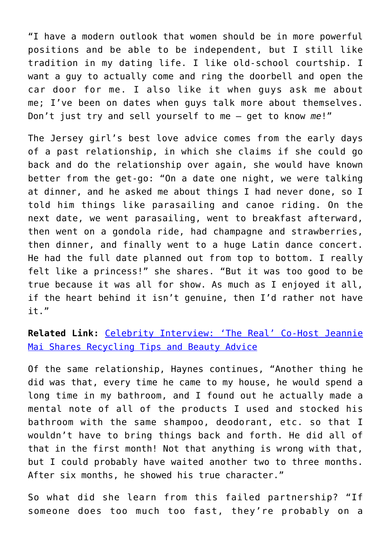"I have a modern outlook that women should be in more powerful positions and be able to be independent, but I still like tradition in my dating life. I like old-school courtship. I want a guy to actually come and ring the doorbell and open the car door for me. I also like it when guys ask me about me; I've been on dates when guys talk more about themselves. Don't just try and sell yourself to me — get to know *me*!"

The Jersey girl's best love advice comes from the early days of a past relationship, in which she claims if she could go back and do the relationship over again, she would have known better from the get-go: "On a date one night, we were talking at dinner, and he asked me about things I had never done, so I told him things like parasailing and canoe riding. On the next date, we went parasailing, went to breakfast afterward, then went on a gondola ride, had champagne and strawberries, then dinner, and finally went to a huge Latin dance concert. He had the full date planned out from top to bottom. I really felt like a princess!" she shares. "But it was too good to be true because it was all for show. As much as I enjoyed it all, if the heart behind it isn't genuine, then I'd rather not have it."

**Related Link:** [Celebrity Interview: 'The Real' Co-Host Jeannie](http://cupidspulse.com/92687/celebrity-interview-reality-tv-star-jeannie-mai-the-real/) [Mai Shares Recycling Tips and Beauty Advice](http://cupidspulse.com/92687/celebrity-interview-reality-tv-star-jeannie-mai-the-real/)

Of the same relationship, Haynes continues, "Another thing he did was that, every time he came to my house, he would spend a long time in my bathroom, and I found out he actually made a mental note of all of the products I used and stocked his bathroom with the same shampoo, deodorant, etc. so that I wouldn't have to bring things back and forth. He did all of that in the first month! Not that anything is wrong with that, but I could probably have waited another two to three months. After six months, he showed his true character."

So what did she learn from this failed partnership? "If someone does too much too fast, they're probably on a